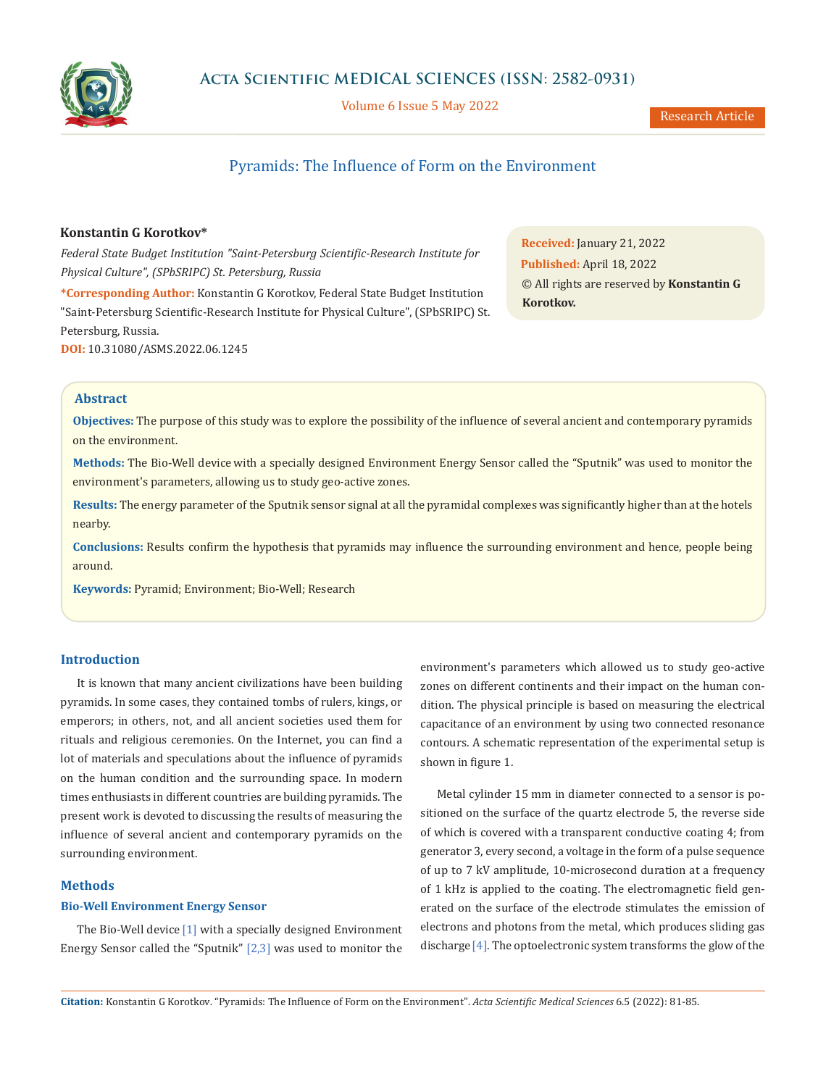

Volume 6 Issue 5 May 2022

# Pyramids: The Influence of Form on the Environment

# **Konstantin G Korotkov\***

*Federal State Budget Institution "Saint-Petersburg Scientific-Research Institute for Physical Culture", (SPbSRIPC) St. Petersburg, Russia* **\*Corresponding Author:** Konstantin G Korotkov, Federal State Budget Institution "Saint-Petersburg Scientific-Research Institute for Physical Culture", (SPbSRIPC) St. Petersburg, Russia. **DOI:** [10.31080/ASMS.2022.06.1245](https://actascientific.com/ASMS/pdf/ASMS-06-1245.pdf)

**Received:** January 21, 2022 **Published:** April 18, 2022 © All rights are reserved by **Konstantin G Korotkov.**

# **Abstract**

**Objectives:** The purpose of this study was to explore the possibility of the influence of several ancient and contemporary pyramids on the environment.

**Methods:** The Bio-Well device with a specially designed Environment Energy Sensor called the "Sputnik" was used to monitor the environment's parameters, allowing us to study geo-active zones.

**Results:** The energy parameter of the Sputnik sensor signal at all the pyramidal complexes was significantly higher than at the hotels nearby.

**Conclusions:** Results confirm the hypothesis that pyramids may influence the surrounding environment and hence, people being around.

**Keywords:** Pyramid; Environment; Bio-Well; Research

## **Introduction**

It is known that many ancient civilizations have been building pyramids. In some cases, they contained tombs of rulers, kings, or emperors; in others, not, and all ancient societies used them for rituals and religious ceremonies. On the Internet, you can find a lot of materials and speculations about the influence of pyramids on the human condition and the surrounding space. In modern times enthusiasts in different countries are building pyramids. The present work is devoted to discussing the results of measuring the influence of several ancient and contemporary pyramids on the surrounding environment.

## **Methods**

## **Bio-Well Environment Energy Sensor**

The Bio-Well device [1] with a specially designed Environment Energy Sensor called the "Sputnik" [2,3] was used to monitor the environment's parameters which allowed us to study geo-active zones on different continents and their impact on the human condition. The physical principle is based on measuring the electrical capacitance of an environment by using two connected resonance contours. A schematic representation of the experimental setup is shown in figure 1.

Metal cylinder 15 mm in diameter connected to a sensor is positioned on the surface of the quartz electrode 5, the reverse side of which is covered with a transparent conductive coating 4; from generator 3, every second, a voltage in the form of a pulse sequence of up to 7 kV amplitude, 10-microsecond duration at a frequency of 1 kHz is applied to the coating. The electromagnetic field generated on the surface of the electrode stimulates the emission of electrons and photons from the metal, which produces sliding gas discharge[4]. The optoelectronic system transforms the glow of the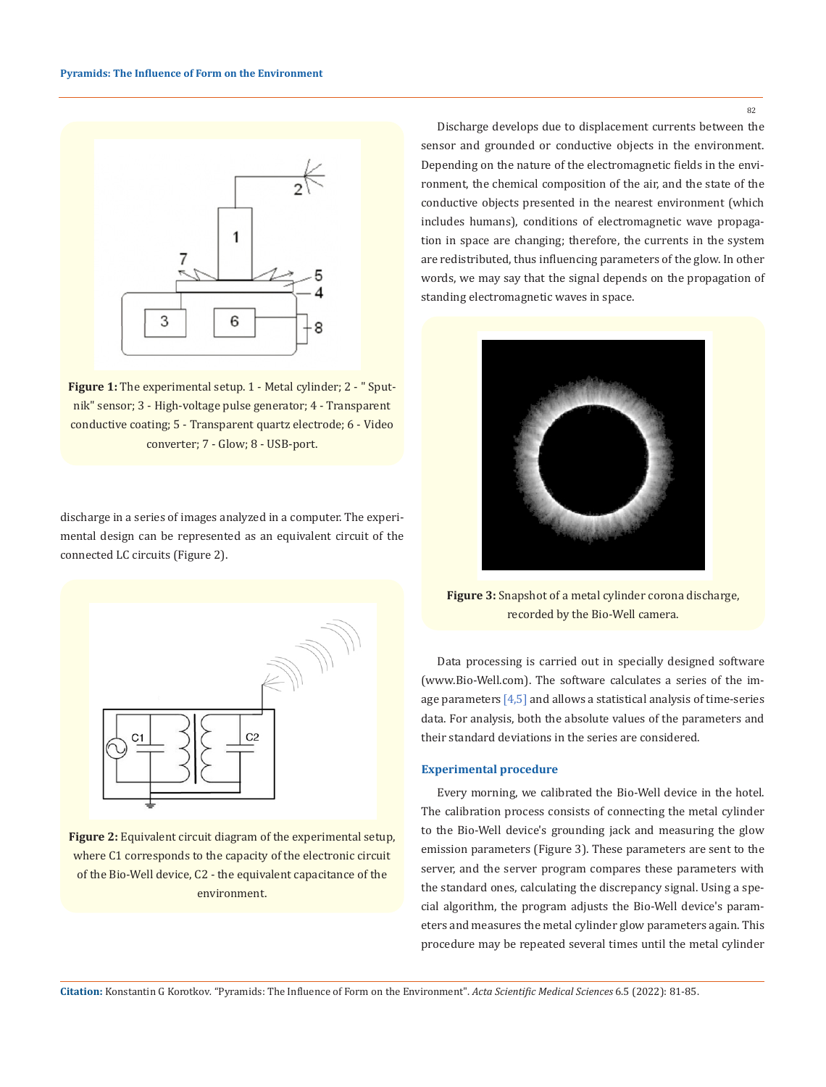

Figure 1: The experimental setup. 1 - Metal cylinder; 2 - " Sputnik" sensor; 3 - High-voltage pulse generator; 4 - Transparent conductive coating; 5 - Transparent quartz electrode; 6 - Video converter; 7 - Glow; 8 - USB-port.

discharge in a series of images analyzed in a computer. The experimental design can be represented as an equivalent circuit of the connected LC circuits (Figure 2).



**Figure 2:** Equivalent circuit diagram of the experimental setup, where C1 corresponds to the capacity of the electronic circuit of the Bio-Well device, C2 - the equivalent capacitance of the environment.

Discharge develops due to displacement currents between the sensor and grounded or conductive objects in the environment. Depending on the nature of the electromagnetic fields in the environment, the chemical composition of the air, and the state of the conductive objects presented in the nearest environment (which includes humans), conditions of electromagnetic wave propagation in space are changing; therefore, the currents in the system are redistributed, thus influencing parameters of the glow. In other words, we may say that the signal depends on the propagation of standing electromagnetic waves in space.



**Figure 3:** Snapshot of a metal cylinder corona discharge, recorded by the Bio-Well camera.

Data processing is carried out in specially designed software (www.Bio-Well.com). The software calculates a series of the image parameters  $[4,5]$  and allows a statistical analysis of time-series data. For analysis, both the absolute values of the parameters and their standard deviations in the series are considered.

## **Experimental procedure**

Every morning, we calibrated the Bio-Well device in the hotel. The calibration process consists of connecting the metal cylinder to the Bio-Well device's grounding jack and measuring the glow emission parameters (Figure 3). These parameters are sent to the server, and the server program compares these parameters with the standard ones, calculating the discrepancy signal. Using a special algorithm, the program adjusts the Bio-Well device's parameters and measures the metal cylinder glow parameters again. This procedure may be repeated several times until the metal cylinder

**Citation:** Konstantin G Korotkov*.* "Pyramids: The Influence of Form on the Environment". *Acta Scientific Medical Sciences* 6.5 (2022): 81-85.

82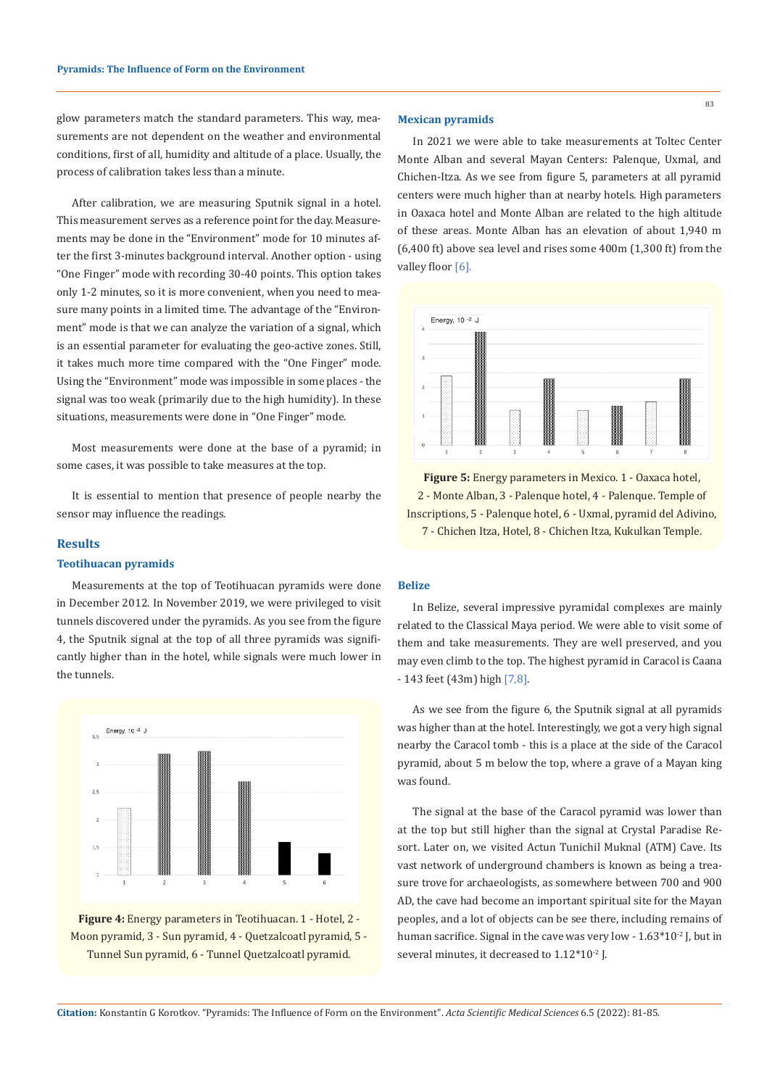glow parameters match the standard parameters. This way, measurements are not dependent on the weather and environmental conditions, first of all, humidity and altitude of a place. Usually, the process of calibration takes less than a minute.

After calibration, we are measuring Sputnik signal in a hotel. This measurement serves as a reference point for the day. Measurements may be done in the "Environment" mode for 10 minutes after the first 3-minutes background interval. Another option - using "One Finger" mode with recording 30-40 points. This option takes only 1-2 minutes, so it is more convenient, when you need to measure many points in a limited time. The advantage of the "Environment" mode is that we can analyze the variation of a signal, which is an essential parameter for evaluating the geo-active zones. Still, it takes much more time compared with the "One Finger" mode. Using the "Environment" mode was impossible in some places - the signal was too weak (primarily due to the high humidity). In these situations, measurements were done in "One Finger" mode.

Most measurements were done at the base of a pyramid; in some cases, it was possible to take measures at the top.

It is essential to mention that presence of people nearby the sensor may influence the readings.

### **Results**

# **Teotihuacan pyramids**

Measurements at the top of Teotihuacan pyramids were done in December 2012. In November 2019, we were privileged to visit tunnels discovered under the pyramids. As you see from the figure 4, the Sputnik signal at the top of all three pyramids was significantly higher than in the hotel, while signals were much lower in the tunnels.



**Figure 4:** Energy parameters in Teotihuacan. 1 - Hotel, 2 - Moon pyramid, 3 - Sun pyramid, 4 - Quetzalcoatl pyramid, 5 - Tunnel Sun pyramid, 6 - Tunnel Quetzalcoatl pyramid.

#### **Mexican pyramids**

In 2021 we were able to take measurements at Toltec Center Monte Alban and several Mayan Centers: Palenque, Uxmal, and Chichen-Itza. As we see from figure 5, parameters at all pyramid centers were much higher than at nearby hotels. High parameters in Oaxaca hotel and Monte Alban are related to the high altitude of these areas. Monte Alban has an elevation of about 1,940 m (6,400 ft) above sea level and rises some 400m (1,300 ft) from the valley floor [6].



**Figure 5:** Energy parameters in Mexico. 1 - Oaxaca hotel, 2 - Monte Alban, 3 - Palenque hotel, 4 - Palenque. Temple of Inscriptions, 5 - Palenque hotel, 6 - Uxmal, pyramid del Adivino, 7 - Chichen Itza, Hotel, 8 - Chichen Itza, Kukulkan Temple.

## **Belize**

In Belize, several impressive pyramidal complexes are mainly related to the Classical Maya period. We were able to visit some of them and take measurements. They are well preserved, and you may even climb to the top. The highest pyramid in Caracol is Caana - 143 feet (43m) high [7,8].

As we see from the figure 6, the Sputnik signal at all pyramids was higher than at the hotel. Interestingly, we got a very high signal nearby the Caracol tomb - this is a place at the side of the Caracol pyramid, about 5 m below the top, where a grave of a Mayan king was found.

The signal at the base of the Caracol pyramid was lower than at the top but still higher than the signal at Crystal Paradise Resort. Later on, we visited Actun Tunichil Muknal (ATM) Cave. Its vast network of underground chambers is known as being a treasure trove for archaeologists, as somewhere between 700 and 900 AD, the cave had become an important spiritual site for the Mayan peoples, and a lot of objects can be see there, including remains of human sacrifice. Signal in the cave was very low - 1.63\*10<sup>-2</sup> J, but in several minutes, it decreased to  $1.12*10<sup>-2</sup>$  J.

**Citation:** Konstantin G Korotkov*.* "Pyramids: The Influence of Form on the Environment". *Acta Scientific Medical Sciences* 6.5 (2022): 81-85.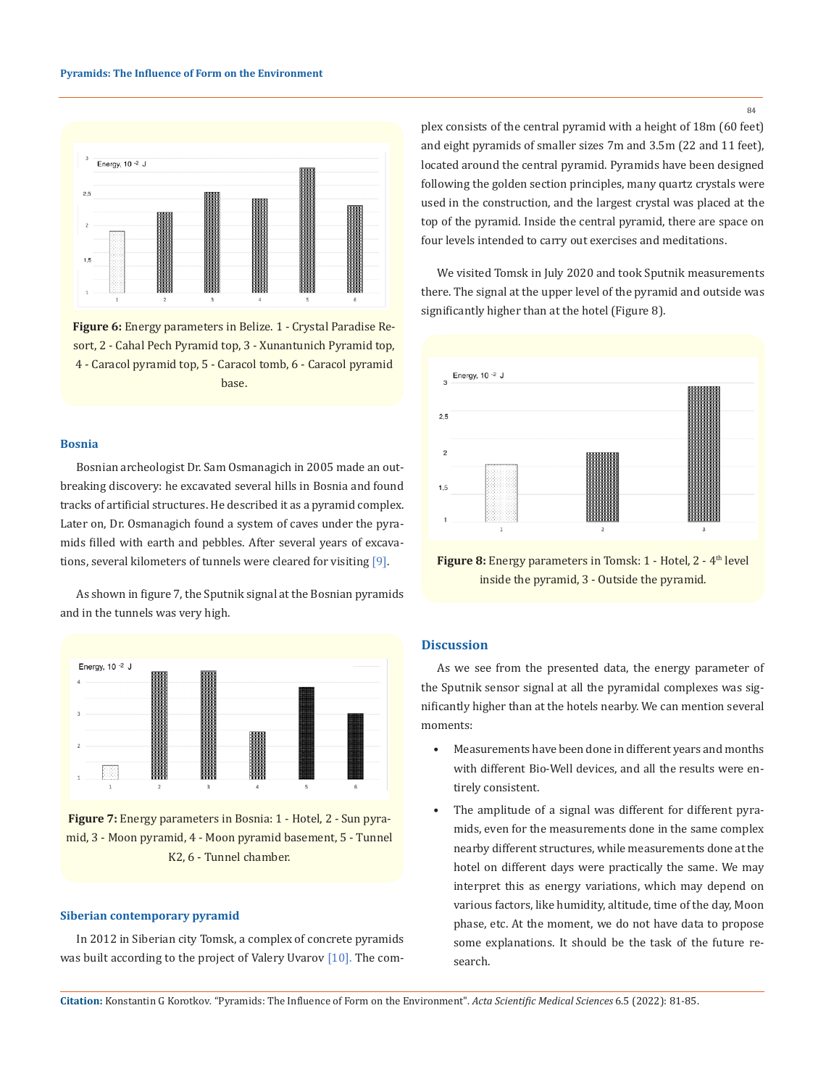

**Figure 6:** Energy parameters in Belize. 1 - Crystal Paradise Resort, 2 - Cahal Pech Pyramid top, 3 - Xunantunich Pyramid top, 4 - Caracol pyramid top, 5 - Caracol tomb, 6 - Caracol pyramid base.

### **Bosnia**

Bosnian archeologist Dr. Sam Osmanagich in 2005 made an outbreaking discovery: he excavated several hills in Bosnia and found tracks of artificial structures. He described it as a pyramid complex. Later on, Dr. Osmanagich found a system of caves under the pyramids filled with earth and pebbles. After several years of excavations, several kilometers of tunnels were cleared for visiting [9].

As shown in figure 7, the Sputnik signal at the Bosnian pyramids and in the tunnels was very high.



**Figure 7:** Energy parameters in Bosnia: 1 - Hotel, 2 - Sun pyramid, 3 - Moon pyramid, 4 - Moon pyramid basement, 5 - Tunnel K2, 6 - Tunnel chamber.

### **Siberian contemporary pyramid**

In 2012 in Siberian city Tomsk, a complex of concrete pyramids was built according to the project of Valery Uvarov [10]. The complex consists of the central pyramid with a height of 18m (60 feet) and eight pyramids of smaller sizes 7m and 3.5m (22 and 11 feet), located around the central pyramid. Pyramids have been designed following the golden section principles, many quartz crystals were used in the construction, and the largest crystal was placed at the top of the pyramid. Inside the central pyramid, there are space on four levels intended to carry out exercises and meditations.

We visited Tomsk in July 2020 and took Sputnik measurements there. The signal at the upper level of the pyramid and outside was significantly higher than at the hotel (Figure 8).



**Figure 8:** Energy parameters in Tomsk: 1 - Hotel, 2 - 4<sup>th</sup> level inside the pyramid, 3 - Outside the pyramid.

## **Discussion**

As we see from the presented data, the energy parameter of the Sputnik sensor signal at all the pyramidal complexes was significantly higher than at the hotels nearby. We can mention several moments:

- Measurements have been done in different years and months with different Bio-Well devices, and all the results were entirely consistent.
- The amplitude of a signal was different for different pyramids, even for the measurements done in the same complex nearby different structures, while measurements done at the hotel on different days were practically the same. We may interpret this as energy variations, which may depend on various factors, like humidity, altitude, time of the day, Moon phase, etc. At the moment, we do not have data to propose some explanations. It should be the task of the future research.

**Citation:** Konstantin G Korotkov*.* "Pyramids: The Influence of Form on the Environment". *Acta Scientific Medical Sciences* 6.5 (2022): 81-85.

84